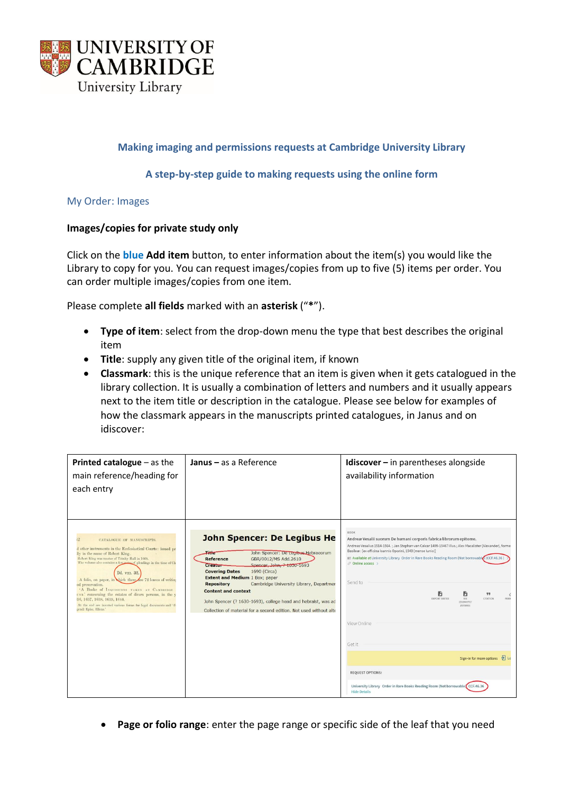

# **Making imaging and permissions requests at Cambridge University Library**

## **A step-by-step guide to making requests using the online form**

My Order: Images

### **Images/copies for private study only**

Click on the **blue Add item** button, to enter information about the item(s) you would like the Library to copy for you. You can request images/copies from up to five (5) items per order. You can order multiple images/copies from one item.

Please complete **all fields** marked with an **asterisk** ("**\***").

- **Type of item**: select from the drop-down menu the type that best describes the original item
- **Title**: supply any given title of the original item, if known
- **Classmark**: this is the unique reference that an item is given when it gets catalogued in the library collection. It is usually a combination of letters and numbers and it usually appears next to the item title or description in the catalogue. Please see below for examples of how the classmark appears in the manuscripts printed catalogues, in Janus and on idiscover:

| <b>Printed catalogue</b> $-$ as the<br>main reference/heading for<br>each entry                                                                                                                                                                                                                                                                                                                                                                                                                                                                                                                                      | Janus $-$ as a Reference                                                                                                                                                                                                                                                                                                                                                                                                                                                                     | <b>Idiscover</b> $-$ in parentheses alongside<br>availability information                                                                                                                                                                                                                                                                                                                                                                                                                                                                                                                                                                                                            |
|----------------------------------------------------------------------------------------------------------------------------------------------------------------------------------------------------------------------------------------------------------------------------------------------------------------------------------------------------------------------------------------------------------------------------------------------------------------------------------------------------------------------------------------------------------------------------------------------------------------------|----------------------------------------------------------------------------------------------------------------------------------------------------------------------------------------------------------------------------------------------------------------------------------------------------------------------------------------------------------------------------------------------------------------------------------------------------------------------------------------------|--------------------------------------------------------------------------------------------------------------------------------------------------------------------------------------------------------------------------------------------------------------------------------------------------------------------------------------------------------------------------------------------------------------------------------------------------------------------------------------------------------------------------------------------------------------------------------------------------------------------------------------------------------------------------------------|
| 52 <sub>1</sub><br>CATALOGUE OF MANUSCRIPTS.<br>d other instruments in the Ecclesiastical Courts: issued pri<br>lly in the name of Robert King.<br>Robert King was master of Trinity Hall in 1660.<br>The volume also contains a few notes of pleadings in the time of Ch<br>Dd. vIII. 32.<br>A folio, on paper, in thich there are 72 leaves of writing<br>od preservation.<br>'A Booke of INQUISICONS TAKEN AT CAMBRIDGE<br>UNT.' concerning the estates of divers persons, in the v<br>36, 1637, 1638, 1639, 1644.<br>At the end are inserted various forms for legal documents and 'ffe<br>gendi Episc, Eliens." | <b>John Spencer: De Legibus He</b><br>$-$<br>John Spencer: De Legibus Hebraeorum<br>GBR/0012/MS Add.2610<br><b>Reference</b><br>Spencer, John, ? 1030-1693<br>Creator<br><b>Covering Dates</b><br>1690 (Circa)<br><b>Extent and Medium 1 Box; paper</b><br>Cambridge University Library, Departmen<br><b>Repository</b><br><b>Content and context</b><br>John Spencer (? 1630-1693), college head and hebraist, was ad<br>Collection of material for a second edition. Not used without alte | BOOK<br>Andreæ Vesalii suorum De humani corporis fabrica librorum epitome.<br>Andreas Vesalius 1514-1564. ; Jan Stephan van Calcar 1499-1546? illus.; Alex Macalister (Alexander), former<br>Basileæ: [ex officina Ioannis Oporini, 1543 (mense Iunio)]<br>ILE Available at University Library Order in Rare Books Reading Room (Not borrowable) (CCF.46.36<br>@ Online access ><br>Send to<br>n<br>в<br>99<br>EXPORT BIBTEX<br><b>CITATION</b><br>PERM<br>RIS<br>(ENDNOTE)<br>ZOTERO)<br>View Online<br>Get It<br>Sign-in for more options 2 Lo<br><b>REQUEST OPTIONS:</b><br>University Library Order in Rare Books Reading Room (Not borrowable) CCF.46.36<br><b>Hide Details</b> |

• **Page or folio range**: enter the page range or specific side of the leaf that you need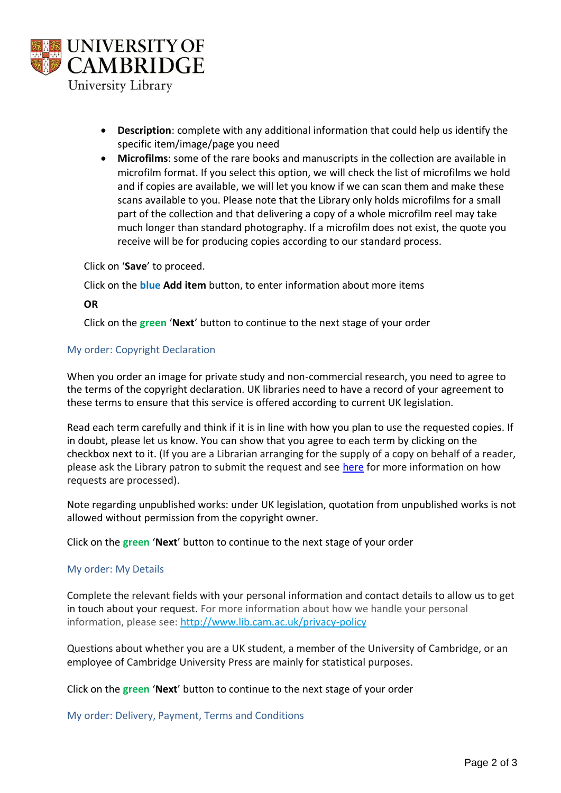

- **Description**: complete with any additional information that could help us identify the specific item/image/page you need
- **Microfilms**: some of the rare books and manuscripts in the collection are available in microfilm format. If you select this option, we will check the list of microfilms we hold and if copies are available, we will let you know if we can scan them and make these scans available to you. Please note that the Library only holds microfilms for a small part of the collection and that delivering a copy of a whole microfilm reel may take much longer than standard photography. If a microfilm does not exist, the quote you receive will be for producing copies according to our standard process.

Click on '**Save**' to proceed.

Click on the **blue Add item** button, to enter information about more items

### **OR**

Click on the **green** '**Next**' button to continue to the next stage of your order

### My order: Copyright Declaration

When you order an image for private study and non-commercial research, you need to agree to the terms of the copyright declaration. UK libraries need to have a record of your agreement to these terms to ensure that this service is offered according to current UK legislation.

Read each term carefully and think if it is in line with how you plan to use the requested copies. If in doubt, please let us know. You can show that you agree to each term by clicking on the checkbox next to it. (If you are a Librarian arranging for the supply of a copy on behalf of a reader, please ask the Library patron to submit the request and see [here](https://www.lib.cam.ac.uk/collections/departments/digital-content-unit/ordering-images) for more information on how requests are processed).

Note regarding unpublished works: under UK legislation, quotation from unpublished works is not allowed without permission from the copyright owner.

Click on the **green** '**Next**' button to continue to the next stage of your order

#### My order: My Details

Complete the relevant fields with your personal information and contact details to allow us to get in touch about your request. For more information about how we handle your personal information, please see: [http://www.lib.cam.ac.uk/privacy-policy](https://imagingservices.lib.cam.ac.uk/p/my-tasks)

Questions about whether you are a UK student, a member of the University of Cambridge, or an employee of Cambridge University Press are mainly for statistical purposes.

Click on the **green** '**Next**' button to continue to the next stage of your order

My order: Delivery, Payment, Terms and Conditions